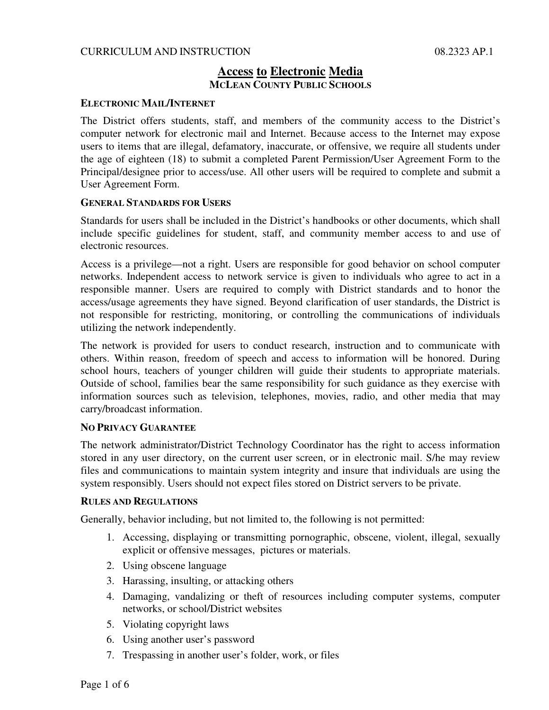### CURRICULUM AND INSTRUCTION 08.2323 AP.1

# **Access to Electronic Media MCLEAN COUNTY PUBLIC SCHOOLS**

### **ELECTRONIC MAIL/INTERNET**

The District offers students, staff, and members of the community access to the District's computer network for electronic mail and Internet. Because access to the Internet may expose users to items that are illegal, defamatory, inaccurate, or offensive, we require all students under the age of eighteen (18) to submit a completed Parent Permission/User Agreement Form to the Principal/designee prior to access/use. All other users will be required to complete and submit a User Agreement Form.

### **GENERAL STANDARDS FOR USERS**

Standards for users shall be included in the District's handbooks or other documents, which shall include specific guidelines for student, staff, and community member access to and use of electronic resources.

Access is a privilege—not a right. Users are responsible for good behavior on school computer networks. Independent access to network service is given to individuals who agree to act in a responsible manner. Users are required to comply with District standards and to honor the access/usage agreements they have signed. Beyond clarification of user standards, the District is not responsible for restricting, monitoring, or controlling the communications of individuals utilizing the network independently.

The network is provided for users to conduct research, instruction and to communicate with others. Within reason, freedom of speech and access to information will be honored. During school hours, teachers of younger children will guide their students to appropriate materials. Outside of school, families bear the same responsibility for such guidance as they exercise with information sources such as television, telephones, movies, radio, and other media that may carry/broadcast information.

### **NO PRIVACY GUARANTEE**

The network administrator/District Technology Coordinator has the right to access information stored in any user directory, on the current user screen, or in electronic mail. S/he may review files and communications to maintain system integrity and insure that individuals are using the system responsibly. Users should not expect files stored on District servers to be private.

### **RULES AND REGULATIONS**

Generally, behavior including, but not limited to, the following is not permitted:

- 1. Accessing, displaying or transmitting pornographic, obscene, violent, illegal, sexually explicit or offensive messages, pictures or materials.
- 2. Using obscene language
- 3. Harassing, insulting, or attacking others
- 4. Damaging, vandalizing or theft of resources including computer systems, computer networks, or school/District websites
- 5. Violating copyright laws
- 6. Using another user's password
- 7. Trespassing in another user's folder, work, or files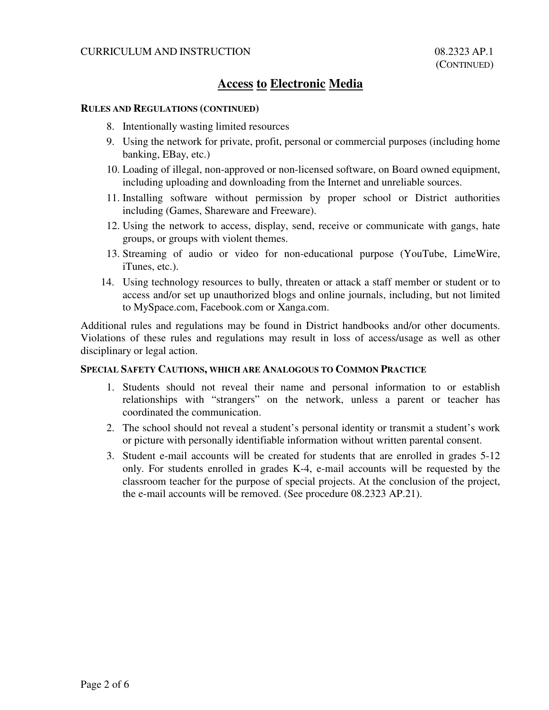# **Access to Electronic Media**

### **RULES AND REGULATIONS (CONTINUED)**

- 8. Intentionally wasting limited resources
- 9. Using the network for private, profit, personal or commercial purposes (including home banking, EBay, etc.)
- 10. Loading of illegal, non-approved or non-licensed software, on Board owned equipment, including uploading and downloading from the Internet and unreliable sources.
- 11. Installing software without permission by proper school or District authorities including (Games, Shareware and Freeware).
- 12. Using the network to access, display, send, receive or communicate with gangs, hate groups, or groups with violent themes.
- 13. Streaming of audio or video for non-educational purpose (YouTube, LimeWire, iTunes, etc.).
- 14. Using technology resources to bully, threaten or attack a staff member or student or to access and/or set up unauthorized blogs and online journals, including, but not limited to MySpace.com, Facebook.com or Xanga.com.

Additional rules and regulations may be found in District handbooks and/or other documents. Violations of these rules and regulations may result in loss of access/usage as well as other disciplinary or legal action.

### **SPECIAL SAFETY CAUTIONS, WHICH ARE ANALOGOUS TO COMMON PRACTICE**

- 1. Students should not reveal their name and personal information to or establish relationships with "strangers" on the network, unless a parent or teacher has coordinated the communication.
- 2. The school should not reveal a student's personal identity or transmit a student's work or picture with personally identifiable information without written parental consent.
- 3. Student e-mail accounts will be created for students that are enrolled in grades 5-12 only. For students enrolled in grades K-4, e-mail accounts will be requested by the classroom teacher for the purpose of special projects. At the conclusion of the project, the e-mail accounts will be removed. (See procedure 08.2323 AP.21).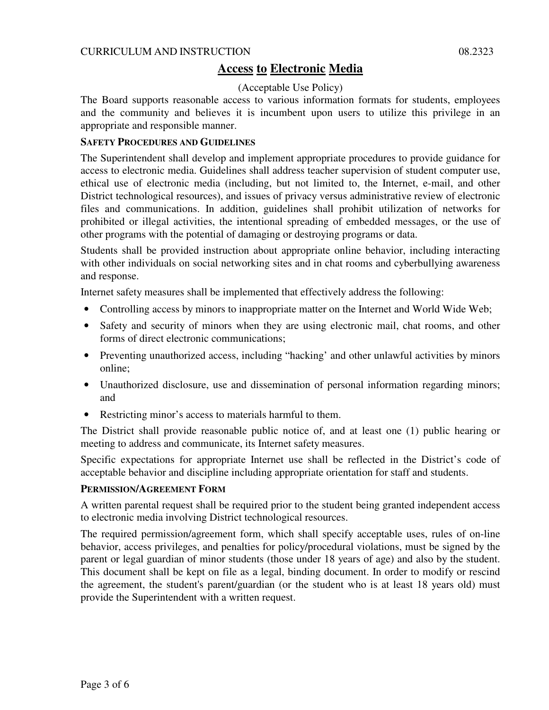### CURRICULUM AND INSTRUCTION 08.2323

# **Access to Electronic Media**

### (Acceptable Use Policy)

The Board supports reasonable access to various information formats for students, employees and the community and believes it is incumbent upon users to utilize this privilege in an appropriate and responsible manner.

### **SAFETY PROCEDURES AND GUIDELINES**

The Superintendent shall develop and implement appropriate procedures to provide guidance for access to electronic media. Guidelines shall address teacher supervision of student computer use, ethical use of electronic media (including, but not limited to, the Internet, e-mail, and other District technological resources), and issues of privacy versus administrative review of electronic files and communications. In addition, guidelines shall prohibit utilization of networks for prohibited or illegal activities, the intentional spreading of embedded messages, or the use of other programs with the potential of damaging or destroying programs or data.

Students shall be provided instruction about appropriate online behavior, including interacting with other individuals on social networking sites and in chat rooms and cyberbullying awareness and response.

Internet safety measures shall be implemented that effectively address the following:

- Controlling access by minors to inappropriate matter on the Internet and World Wide Web;
- Safety and security of minors when they are using electronic mail, chat rooms, and other forms of direct electronic communications;
- Preventing unauthorized access, including "hacking' and other unlawful activities by minors online;
- Unauthorized disclosure, use and dissemination of personal information regarding minors; and
- Restricting minor's access to materials harmful to them.

The District shall provide reasonable public notice of, and at least one (1) public hearing or meeting to address and communicate, its Internet safety measures.

Specific expectations for appropriate Internet use shall be reflected in the District's code of acceptable behavior and discipline including appropriate orientation for staff and students.

### **PERMISSION/AGREEMENT FORM**

A written parental request shall be required prior to the student being granted independent access to electronic media involving District technological resources.

The required permission/agreement form, which shall specify acceptable uses, rules of on-line behavior, access privileges, and penalties for policy/procedural violations, must be signed by the parent or legal guardian of minor students (those under 18 years of age) and also by the student. This document shall be kept on file as a legal, binding document. In order to modify or rescind the agreement, the student's parent/guardian (or the student who is at least 18 years old) must provide the Superintendent with a written request.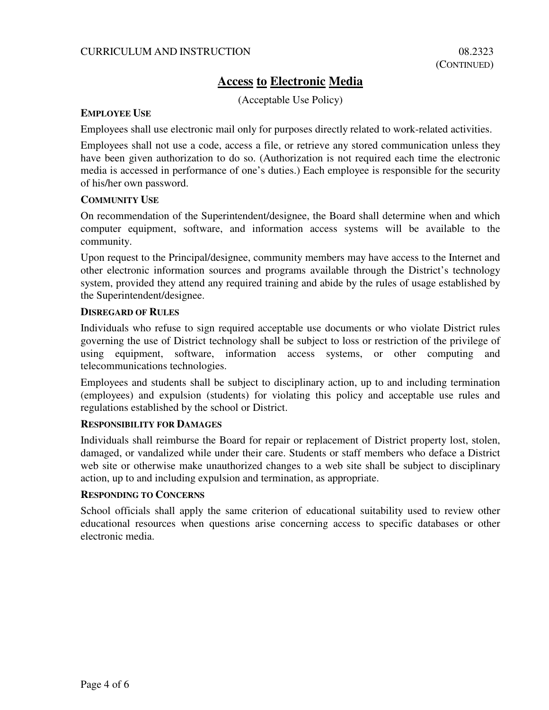### CURRICULUM AND INSTRUCTION 08.2323

# **Access to Electronic Media**

(Acceptable Use Policy)

### **EMPLOYEE USE**

Employees shall use electronic mail only for purposes directly related to work-related activities.

Employees shall not use a code, access a file, or retrieve any stored communication unless they have been given authorization to do so. (Authorization is not required each time the electronic media is accessed in performance of one's duties.) Each employee is responsible for the security of his/her own password.

### **COMMUNITY USE**

On recommendation of the Superintendent/designee, the Board shall determine when and which computer equipment, software, and information access systems will be available to the community.

Upon request to the Principal/designee, community members may have access to the Internet and other electronic information sources and programs available through the District's technology system, provided they attend any required training and abide by the rules of usage established by the Superintendent/designee.

### **DISREGARD OF RULES**

Individuals who refuse to sign required acceptable use documents or who violate District rules governing the use of District technology shall be subject to loss or restriction of the privilege of using equipment, software, information access systems, or other computing and telecommunications technologies.

Employees and students shall be subject to disciplinary action, up to and including termination (employees) and expulsion (students) for violating this policy and acceptable use rules and regulations established by the school or District.

### **RESPONSIBILITY FOR DAMAGES**

Individuals shall reimburse the Board for repair or replacement of District property lost, stolen, damaged, or vandalized while under their care. Students or staff members who deface a District web site or otherwise make unauthorized changes to a web site shall be subject to disciplinary action, up to and including expulsion and termination, as appropriate.

### **RESPONDING TO CONCERNS**

School officials shall apply the same criterion of educational suitability used to review other educational resources when questions arise concerning access to specific databases or other electronic media.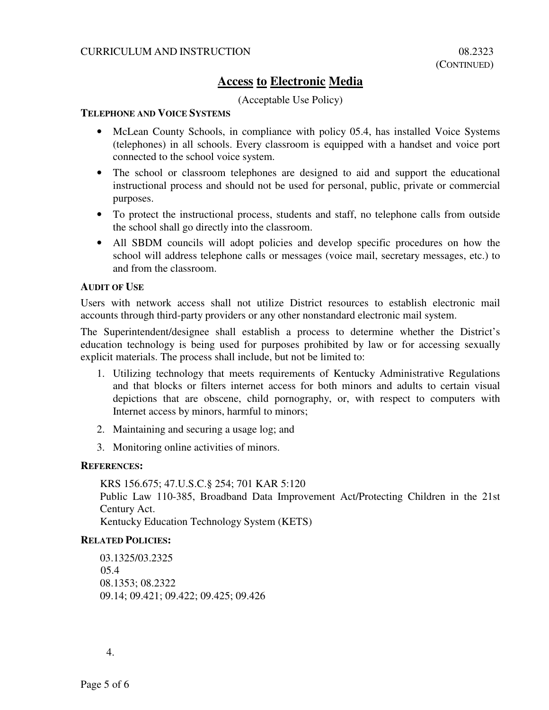# **Access to Electronic Media**

### (Acceptable Use Policy)

### **TELEPHONE AND VOICE SYSTEMS**

- McLean County Schools, in compliance with policy 05.4, has installed Voice Systems (telephones) in all schools. Every classroom is equipped with a handset and voice port connected to the school voice system.
- The school or classroom telephones are designed to aid and support the educational instructional process and should not be used for personal, public, private or commercial purposes.
- To protect the instructional process, students and staff, no telephone calls from outside the school shall go directly into the classroom.
- All SBDM councils will adopt policies and develop specific procedures on how the school will address telephone calls or messages (voice mail, secretary messages, etc.) to and from the classroom.

### **AUDIT OF USE**

Users with network access shall not utilize District resources to establish electronic mail accounts through third-party providers or any other nonstandard electronic mail system.

The Superintendent/designee shall establish a process to determine whether the District's education technology is being used for purposes prohibited by law or for accessing sexually explicit materials. The process shall include, but not be limited to:

- 1. Utilizing technology that meets requirements of Kentucky Administrative Regulations and that blocks or filters internet access for both minors and adults to certain visual depictions that are obscene, child pornography, or, with respect to computers with Internet access by minors, harmful to minors;
- 2. Maintaining and securing a usage log; and
- 3. Monitoring online activities of minors.

### **REFERENCES:**

KRS 156.675; 47.U.S.C.§ 254; 701 KAR 5:120 Public Law 110-385, Broadband Data Improvement Act/Protecting Children in the 21st Century Act.

Kentucky Education Technology System (KETS)

### **RELATED POLICIES:**

03.1325/03.2325 05.4 08.1353; 08.2322 09.14; 09.421; 09.422; 09.425; 09.426